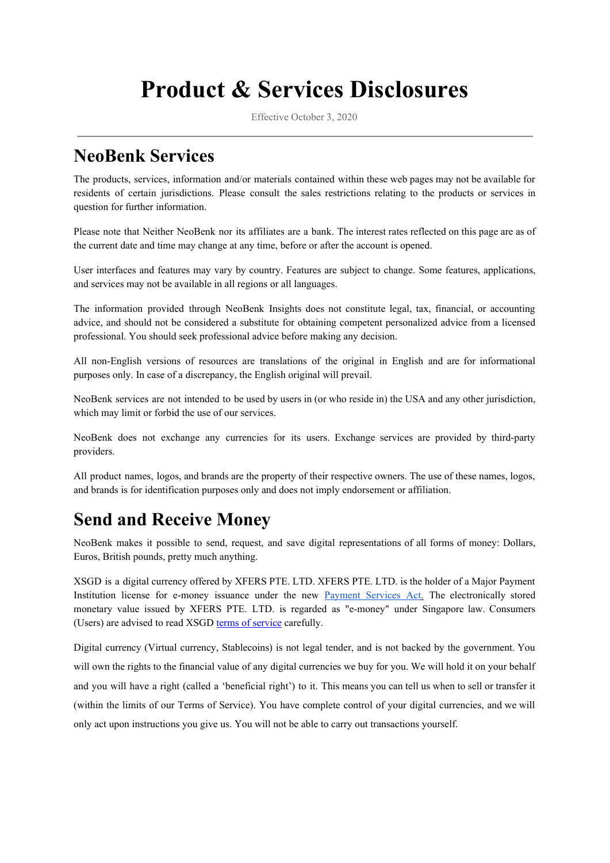# **Product & Services Disclosures**

Effective October 3, 2020

#### **NeoBenk Services**

The products, services, information and/or materials contained within these web pages may not be available for residents of certain jurisdictions. Please consult the sales restrictions relating to the products or services in question for further information.

Please note that Neither NeoBenk nor its affiliates are a bank. The interest rates reflected on this page are as of the current date and time may change at any time, before or after the account is opened.

User interfaces and features may vary by country. Features are subject to change. Some features, applications, and services may not be available in all regions or all languages.

The information provided through NeoBenk Insights does not constitute legal, tax, financial, or accounting advice, and should not be considered a substitute for obtaining competent personalized advice from a licensed professional. You should seek professional advice before making any decision.

All non-English versions of resources are translations of the original in English and are for informational purposes only. In case of a discrepancy, the English original will prevail.

NeoBenk services are not intended to be used by users in (or who reside in) the USA and any other jurisdiction, which may limit or forbid the use of our services.

NeoBenk does not exchange any currencies for its users. Exchange services are provided by third-party providers.

All product names, logos, and brands are the property of their respective owners. The use of these names, logos, and brands is for identification purposes only and does not imply endorsement or affiliation.

### **Send and Receive Money**

NeoBenk makes it possible to send, request, and save digital representations of all forms of money: Dollars, Euros, British pounds, pretty much anything.

XSGD is a digital currency offered by XFERS PTE. LTD. XFERS PTE. LTD. is the holder of a Major Payment Institution license for e-money issuance under the new [Payment](https://eservices.mas.gov.sg/fid/institution/detail/226546-XFERS-PTE-LTD) Services Ac[t.](https://eservices.mas.gov.sg/fid/institution/detail/226546-XFERS-PTE-LTD) The electronically stored monetary value issued by XFERS PTE. LTD. is regarded as "e-money" under Singapore law. Consumers (Users) are advised to read XSGD terms of [service](https://www.xfers.com/sg/terms-of-service/) carefully.

Digital currency (Virtual currency, Stablecoins) is not legal tender, and is not backed by the government. You will own the rights to the financial value of any digital currencies we buy for you. We will hold it on your behalf and you will have a right (called a 'beneficial right') to it. This means you can tell us when to sell or transfer it (within the limits of our Terms of Service). You have complete control of your digital currencies, and we will only act upon instructions you give us. You will not be able to carry out transactions yourself.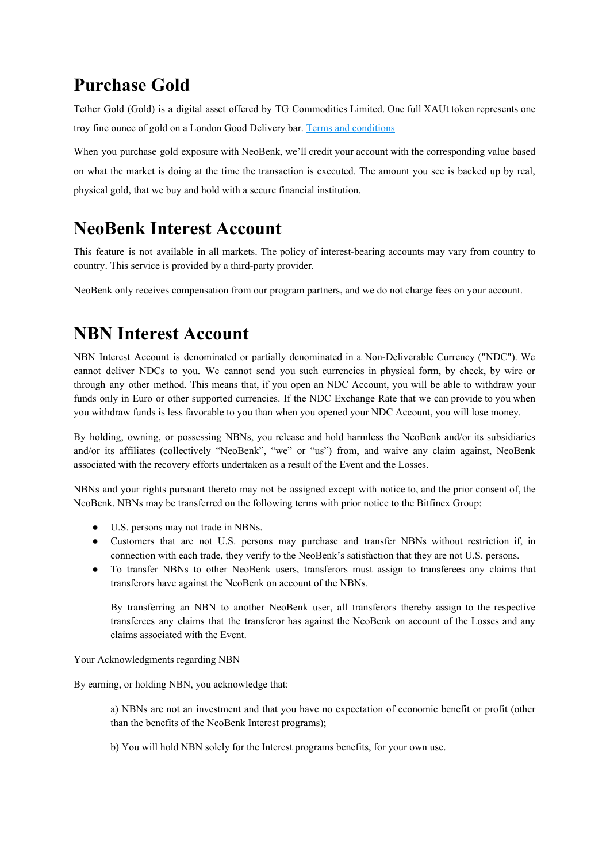#### **Purchase Gold**

Tether Gold (Gold) is a digital asset offered by TG Commodities Limited. One full XAUt token represents one troy fine ounce of gold on a London Good Delivery bar. Terms and [conditions](https://gold.tether.to/legal)

When you purchase gold exposure with NeoBenk, we'll credit your account with the corresponding value based on what the market is doing at the time the transaction is executed. The amount you see is backed up by real, physical gold, that we buy and hold with a secure financial institution.

## **NeoBenk Interest Account**

This feature is not available in all markets. The policy of interest-bearing accounts may vary from country to country. This service is provided by a third-party provider.

NeoBenk only receives compensation from our program partners, and we do not charge fees on your account.

#### **NBN Interest Account**

NBN Interest Account is denominated or partially denominated in a Non-Deliverable Currency ("NDC"). We cannot deliver NDCs to you. We cannot send you such currencies in physical form, by check, by wire or through any other method. This means that, if you open an NDC Account, you will be able to withdraw your funds only in Euro or other supported currencies. If the NDC Exchange Rate that we can provide to you when you withdraw funds is less favorable to you than when you opened your NDC Account, you will lose money.

By holding, owning, or possessing NBNs, you release and hold harmless the NeoBenk and/or its subsidiaries and/or its affiliates (collectively "NeoBenk", "we" or "us") from, and waive any claim against, NeoBenk associated with the recovery efforts undertaken as a result of the Event and the Losses.

NBNs and your rights pursuant thereto may not be assigned except with notice to, and the prior consent of, the NeoBenk. NBNs may be transferred on the following terms with prior notice to the Bitfinex Group:

- U.S. persons may not trade in NBNs.
- Customers that are not U.S. persons may purchase and transfer NBNs without restriction if, in connection with each trade, they verify to the NeoBenk's satisfaction that they are not U.S. persons.
- To transfer NBNs to other NeoBenk users, transferors must assign to transferees any claims that transferors have against the NeoBenk on account of the NBNs.

By transferring an NBN to another NeoBenk user, all transferors thereby assign to the respective transferees any claims that the transferor has against the NeoBenk on account of the Losses and any claims associated with the Event.

Your Acknowledgments regarding NBN

By earning, or holding NBN, you acknowledge that:

a) NBNs are not an investment and that you have no expectation of economic benefit or profit (other than the benefits of the NeoBenk Interest programs);

b) You will hold NBN solely for the Interest programs benefits, for your own use.